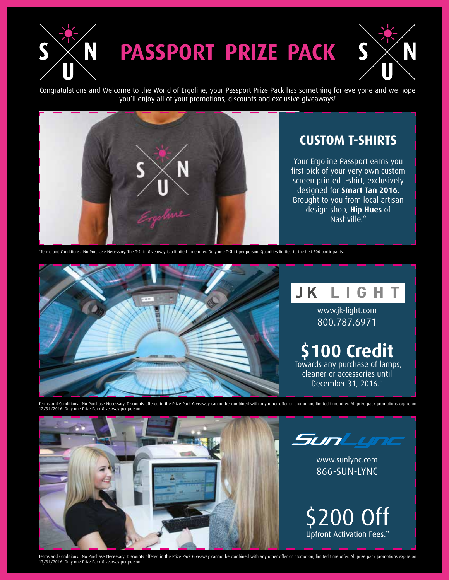## **PASSPORT PRIZE PACK**



 $\mathsf S$ 

Congratulations and Welcome to the World of Ergoline, your Passport Prize Pack has something for everyone and we hope you'll enjoy all of your promotions, discounts and exclusive giveaways!



Your Ergoline Passport earns you first pick of your very own custom screen printed t-shirt, exclusively designed for **Smart Tan 2016**. Brought to you from local artisan design shop, **Hip Hues** of Nashville.\*

\*Terms and Conditions. No Purchase Necessary. The T-Shirt Giveaway is a limited time offer. Only one T-Shirt per person. Quanities limited to the first 500 participants.





 Towards any purchase of lamps, cleaner or accessories until December 31, 2016.\*

Terms and Conditions. No Purchase Necessary. Discounts offered in the Prize Pack Giveaway cannot be combined with any other offer or promotion, limited time offer. All prize pack promotions expire on 12/31/2016. Only one Prize Pack Giveaway per person.





www.sunlync.com 866-SUN-LYNC



Terms and Conditions. No Purchase Necessary. Discounts offered in the Prize Pack Giveaway cannot be combined with any other offer or promotion, limited time offer. All prize pack promotions expire on 12/31/2016. Only one Prize Pack Giveaway per person.